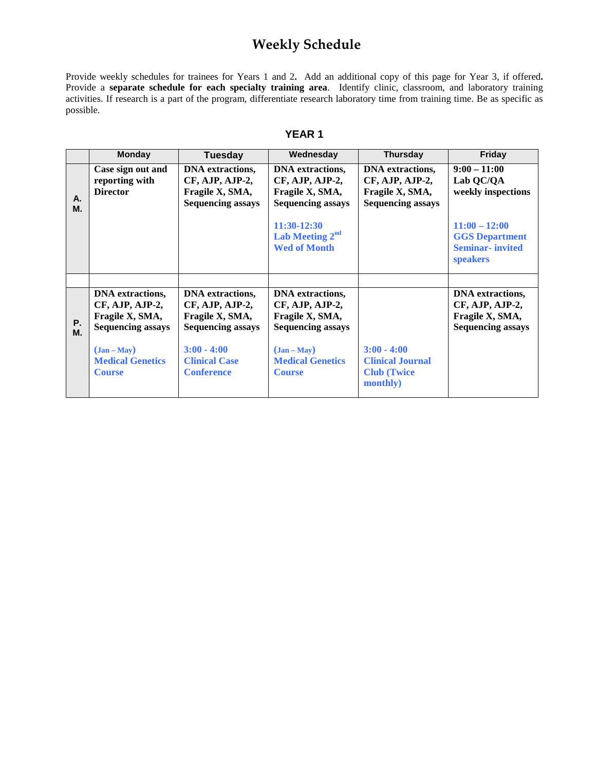## **Weekly Schedule**

Provide weekly schedules for trainees for Years 1 and 2**.** Add an additional copy of this page for Year 3, if offered**.**  Provide a **separate schedule for each specialty training area**. Identify clinic, classroom, and laboratory training activities. If research is a part of the program, differentiate research laboratory time from training time. Be as specific as possible.

|--|--|

|                 | <b>Monday</b>                                                                                                                                        | <b>Tuesday</b>                                                                                                                                          | Wednesday                                                                                                                                                      | <b>Thursday</b>                                                                           | Friday                                                                                                                                     |
|-----------------|------------------------------------------------------------------------------------------------------------------------------------------------------|---------------------------------------------------------------------------------------------------------------------------------------------------------|----------------------------------------------------------------------------------------------------------------------------------------------------------------|-------------------------------------------------------------------------------------------|--------------------------------------------------------------------------------------------------------------------------------------------|
| А.<br>М.        | Case sign out and<br>reporting with<br><b>Director</b>                                                                                               | <b>DNA</b> extractions,<br>CF, AJP, AJP-2,<br>Fragile X, SMA,<br><b>Sequencing assays</b>                                                               | <b>DNA</b> extractions,<br>CF, AJP, AJP-2,<br>Fragile X, SMA,<br><b>Sequencing assays</b><br>11:30-12:30<br>Lab Meeting 2 <sup>nd</sup><br><b>Wed of Month</b> | <b>DNA</b> extractions,<br>CF, AJP, AJP-2,<br>Fragile X, SMA,<br><b>Sequencing assays</b> | $9:00 - 11:00$<br>Lab QC/QA<br>weekly inspections<br>$11:00 - 12:00$<br><b>GGS Department</b><br><b>Seminar-invited</b><br><b>speakers</b> |
| <b>P.</b><br>М. | <b>DNA</b> extractions,<br>CF, AJP, AJP-2,<br>Fragile X, SMA,<br><b>Sequencing assays</b><br>$(Jan-May)$<br><b>Medical Genetics</b><br><b>Course</b> | <b>DNA</b> extractions,<br>CF, AJP, AJP-2,<br>Fragile X, SMA,<br><b>Sequencing assays</b><br>$3:00 - 4:00$<br><b>Clinical Case</b><br><b>Conference</b> | <b>DNA</b> extractions,<br>CF, AJP, AJP-2,<br>Fragile X, SMA,<br><b>Sequencing assays</b><br>$(Jan-May)$<br><b>Medical Genetics</b><br><b>Course</b>           | $3:00 - 4:00$<br><b>Clinical Journal</b><br><b>Club</b> (Twice<br>monthly)                | <b>DNA</b> extractions,<br>CF, AJP, AJP-2,<br>Fragile X, SMA,<br><b>Sequencing assays</b>                                                  |